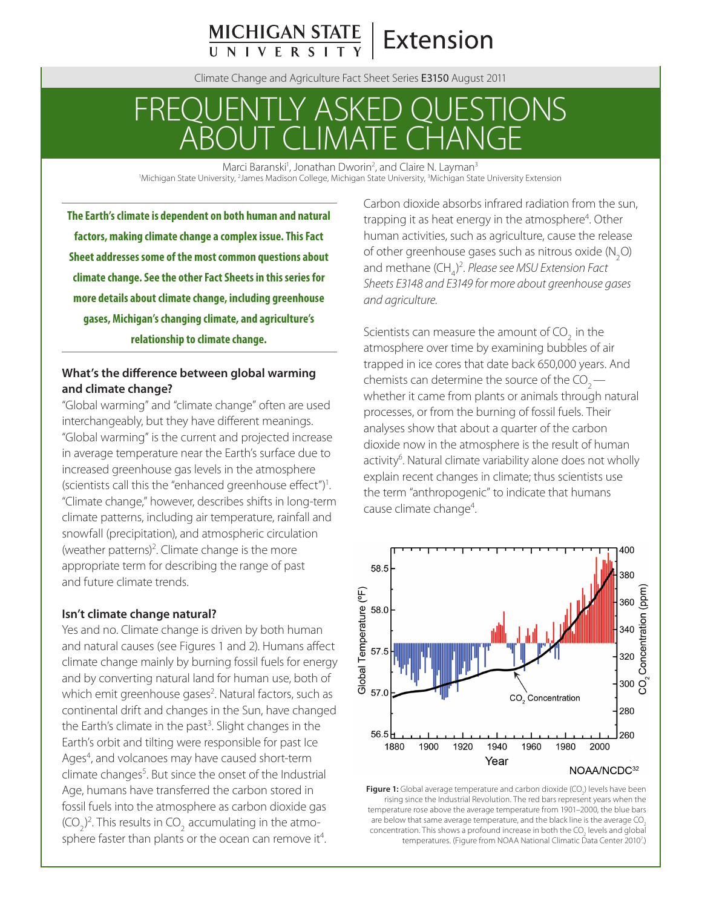# **MICHIGAN STATE**<br>UNIVERSITY **Extension**

Climate Change and Agriculture Fact Sheet Series E3150 August 2011

# FREQUENTLY ASKED QUESTIONS ABOUT CLIMATE CHANGE

Marci Baranski<sup>1</sup>, Jonathan Dworin<sup>2</sup>, and Claire N. Layman<sup>3</sup><br>Michigan State University <sup>2</sup> James Madison College Michigan State University Michigan Stat Michigan State University, <sup>2</sup>James Madison College, Michigan State University, <sup>3</sup>Michigan State University Extension

**The Earth's climate is dependent on both human and natural factors, making climate change a complex issue. This Fact Sheet addresses some of the most common questions about climate change. See the other Fact Sheets in this series for more details about climate change, including greenhouse gases, Michigan's changing climate, and agriculture's relationship to climate change.**

# **What's the difference between global warming and climate change?**

"Global warming" and "climate change" often are used interchangeably, but they have different meanings. "Global warming" is the current and projected increase in average temperature near the Earth's surface due to increased greenhouse gas levels in the atmosphere (scientists call this the "enhanced greenhouse effect")<sup>1</sup>. "Climate change," however, describes shifts in long-term climate patterns, including air temperature, rainfall and snowfall (precipitation), and atmospheric circulation (weather patterns)<sup>2</sup>. Climate change is the more appropriate term for describing the range of past and future climate trends.

#### **Isn't climate change natural?**

Yes and no. Climate change is driven by both human and natural causes (see Figures 1 and 2). Humans affect climate change mainly by burning fossil fuels for energy and by converting natural land for human use, both of which emit greenhouse gases<sup>2</sup>. Natural factors, such as continental drift and changes in the Sun, have changed the Earth's climate in the past<sup>3</sup>. Slight changes in the Earth's orbit and tilting were responsible for past Ice Ages<sup>4</sup>, and volcanoes may have caused short-term climate changes<sup>5</sup>. But since the onset of the Industrial Age, humans have transferred the carbon stored in fossil fuels into the atmosphere as carbon dioxide gas (CO<sub>2</sub>)<sup>2</sup>. This results in CO<sub>2</sub> accumulating in the atmosphere faster than plants or the ocean can remove it<sup>4</sup>.

Carbon dioxide absorbs infrared radiation from the sun, trapping it as heat energy in the atmosphere<sup>4</sup>. Other human activities, such as agriculture, cause the release of other greenhouse gases such as nitrous oxide (N<sub>2</sub>O) and methane (CH<sub>4</sub>)<sup>2</sup>. *Please see MSU Extension Fact Sheets E3148 and E3149 for more about greenhouse gases and agriculture.*

Scientists can measure the amount of  $CO<sub>2</sub>$  in the atmosphere over time by examining bubbles of air trapped in ice cores that date back 650,000 years. And chemists can determine the source of the  $CO<sub>2</sub>$ whether it came from plants or animals through natural processes, or from the burning of fossil fuels. Their analyses show that about a quarter of the carbon dioxide now in the atmosphere is the result of human activity<sup>6</sup>. Natural climate variability alone does not wholly explain recent changes in climate; thus scientists use the term "anthropogenic" to indicate that humans cause climate change<sup>4</sup>.



**Figure 1:** Global average temperature and carbon dioxide (CO<sub>2</sub>) levels have been rising since the Industrial Revolution. The red bars represent years when the temperature rose above the average temperature from 1901–2000, the blue bars are below that same average temperature, and the black line is the average  $CO<sub>2</sub>$ concentration. This shows a profound increase in both the CO<sub>2</sub> levels and global temperatures. (Figure from NOAA National Climatic Data Center 2010<sup>7</sup>.)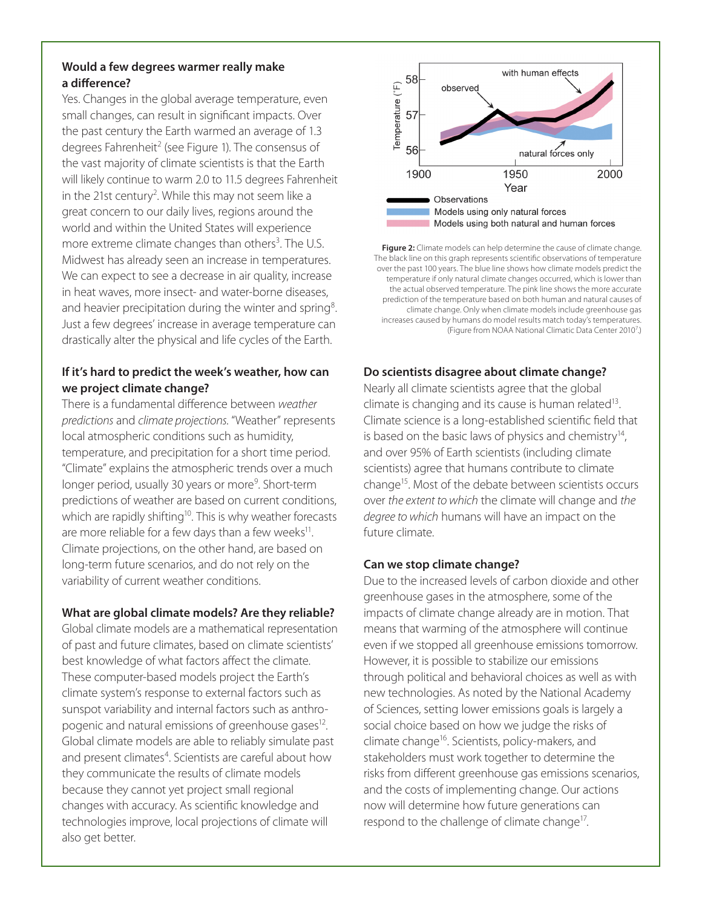# **Would a few degrees warmer really make a difference?**

Yes. Changes in the global average temperature, even small changes, can result in significant impacts. Over the past century the Earth warmed an average of 1.3 degrees Fahrenheit<sup>2</sup> (see Figure 1). The consensus of the vast majority of climate scientists is that the Earth will likely continue to warm 2.0 to 11.5 degrees Fahrenheit in the 21st century<sup>2</sup>. While this may not seem like a great concern to our daily lives, regions around the world and within the United States will experience more extreme climate changes than others<sup>3</sup>. The U.S. Midwest has already seen an increase in temperatures. We can expect to see a decrease in air quality, increase in heat waves, more insect- and water-borne diseases, and heavier precipitation during the winter and spring<sup>8</sup>. Just a few degrees' increase in average temperature can drastically alter the physical and life cycles of the Earth.

## **If it's hard to predict the week's weather, how can we project climate change?**

There is a fundamental difference between *weather predictions* and *climate projections*. "Weather" represents local atmospheric conditions such as humidity, temperature, and precipitation for a short time period. "Climate" explains the atmospheric trends over a much longer period, usually 30 years or more<sup>9</sup>. Short-term predictions of weather are based on current conditions, which are rapidly shifting<sup>10</sup>. This is why weather forecasts are more reliable for a few days than a few weeks $11$ . Climate projections, on the other hand, are based on long-term future scenarios, and do not rely on the variability of current weather conditions.

#### **What are global climate models? Are they reliable?**

Global climate models are a mathematical representation of past and future climates, based on climate scientists' best knowledge of what factors affect the climate. These computer-based models project the Earth's climate system's response to external factors such as sunspot variability and internal factors such as anthropogenic and natural emissions of greenhouse gases<sup>12</sup>. Global climate models are able to reliably simulate past and present climates<sup>4</sup>. Scientists are careful about how they communicate the results of climate models because they cannot yet project small regional changes with accuracy. As scientific knowledge and technologies improve, local projections of climate will also get better.



**Figure 2:** Climate models can help determine the cause of climate change. The black line on this graph represents scientific observations of temperature over the past 100 years. The blue line shows how climate models predict the temperature if only natural climate changes occurred, which is lower than the actual observed temperature. The pink line shows the more accurate prediction of the temperature based on both human and natural causes of climate change. Only when climate models include greenhouse gas increases caused by humans do model results match today's temperatures. (Figure from NOAA National Climatic Data Center 2010<sup>7</sup>.)

# **Do scientists disagree about climate change?**

Nearly all climate scientists agree that the global climate is changing and its cause is human related<sup>13</sup>. Climate science is a long-established scientific field that is based on the basic laws of physics and chemistry<sup>14</sup>, and over 95% of Earth scientists (including climate scientists) agree that humans contribute to climate change15. Most of the debate between scientists occurs over *the extent to which* the climate will change and *the degree to which* humans will have an impact on the future climate.

### **Can we stop climate change?**

Due to the increased levels of carbon dioxide and other greenhouse gases in the atmosphere, some of the impacts of climate change already are in motion. That means that warming of the atmosphere will continue even if we stopped all greenhouse emissions tomorrow. However, it is possible to stabilize our emissions through political and behavioral choices as well as with new technologies. As noted by the National Academy of Sciences, setting lower emissions goals is largely a social choice based on how we judge the risks of climate change<sup>16</sup>. Scientists, policy-makers, and stakeholders must work together to determine the risks from different greenhouse gas emissions scenarios, and the costs of implementing change. Our actions now will determine how future generations can respond to the challenge of climate change<sup>17</sup>.